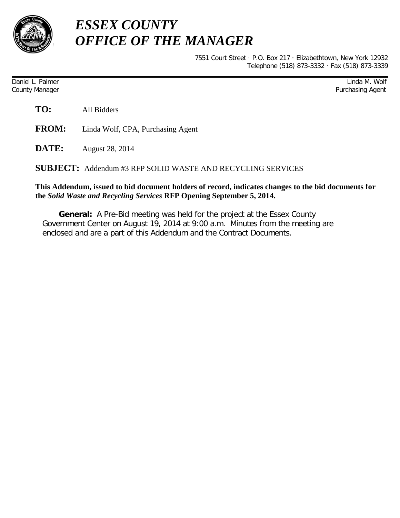

## *ESSEX COUNTY OFFICE OF THE MANAGER*

7551 Court Street · P.O. Box 217 · Elizabethtown, New York 12932 Telephone (518) 873-3332 · Fax (518) 873-3339

Daniel L. Palmer Linda M. Wolf County Manager Purchasing Agent

| TO: | All Bidders |
|-----|-------------|
|     |             |

**FROM:** Linda Wolf, CPA, Purchasing Agent

**DATE:** August 28, 2014

**SUBJECT:** Addendum #3 RFP SOLID WASTE AND RECYCLING SERVICES

## **This Addendum, issued to bid document holders of record, indicates changes to the bid documents for the** *Solid Waste and Recycling Services* **RFP Opening September 5, 2014.**

**General:** A Pre-Bid meeting was held for the project at the Essex County Government Center on August 19, 2014 at 9:00 a.m. Minutes from the meeting are enclosed and are a part of this Addendum and the Contract Documents.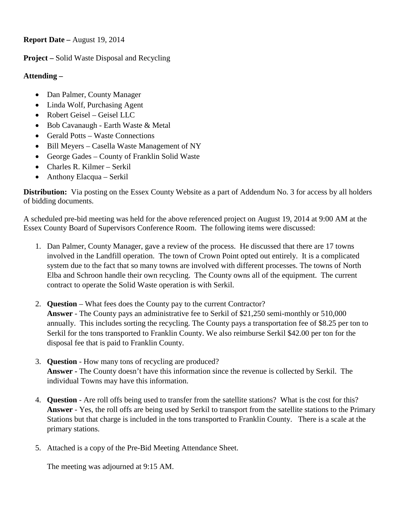**Report Date –** August 19, 2014

**Project –** Solid Waste Disposal and Recycling

## **Attending –**

- Dan Palmer, County Manager
- Linda Wolf, Purchasing Agent
- Robert Geisel Geisel LLC
- Bob Cavanaugh Earth Waste & Metal
- Gerald Potts Waste Connections
- Bill Meyers Casella Waste Management of NY
- George Gades County of Franklin Solid Waste
- Charles R. Kilmer Serkil
- Anthony Elacqua Serkil

**Distribution:** Via posting on the Essex County Website as a part of Addendum No. 3 for access by all holders of bidding documents.

A scheduled pre-bid meeting was held for the above referenced project on August 19, 2014 at 9:00 AM at the Essex County Board of Supervisors Conference Room. The following items were discussed:

- 1. Dan Palmer, County Manager, gave a review of the process. He discussed that there are 17 towns involved in the Landfill operation. The town of Crown Point opted out entirely. It is a complicated system due to the fact that so many towns are involved with different processes. The towns of North Elba and Schroon handle their own recycling. The County owns all of the equipment. The current contract to operate the Solid Waste operation is with Serkil.
- 2. **Question** What fees does the County pay to the current Contractor? **Answer** - The County pays an administrative fee to Serkil of \$21,250 semi-monthly or 510,000 annually. This includes sorting the recycling. The County pays a transportation fee of \$8.25 per ton to Serkil for the tons transported to Franklin County. We also reimburse Serkil \$42.00 per ton for the disposal fee that is paid to Franklin County.
- 3. **Question**  How many tons of recycling are produced? **Answer -** The County doesn't have this information since the revenue is collected by Serkil. The individual Towns may have this information.
- 4. **Question**  Are roll offs being used to transfer from the satellite stations? What is the cost for this? **Answer** - Yes, the roll offs are being used by Serkil to transport from the satellite stations to the Primary Stations but that charge is included in the tons transported to Franklin County. There is a scale at the primary stations.
- 5. Attached is a copy of the Pre-Bid Meeting Attendance Sheet.

The meeting was adjourned at 9:15 AM.